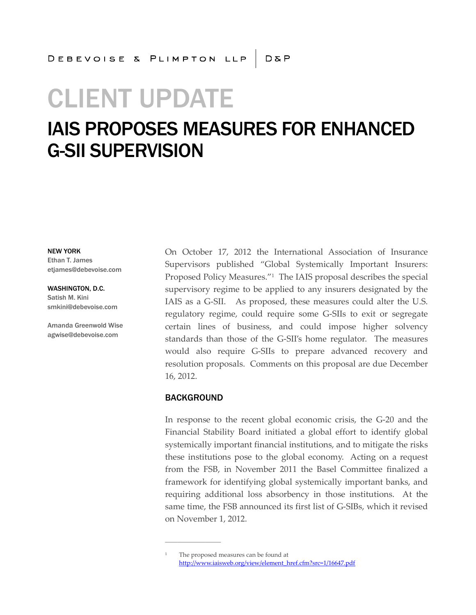# CLIENT UPDATE

# IAIS PROPOSES MEASURES FOR ENHANCED G-SII SUPERVISION

NEW YORK

Ethan T. James etjames@debevoise.com

#### WASHINGTON, D.C.

Satish M. Kini smkini@debevoise.com

Amanda Greenwold Wise agwise@debevoise.com

On October 17, 2012 the International Association of Insurance Supervisors published "Global Systemically Important Insurers: Proposed Policy Measures."<sup>1</sup> The IAIS proposal describes the special supervisory regime to be applied to any insurers designated by the IAIS as a G-SII. As proposed, these measures could alter the U.S. regulatory regime, could require some G-SIIs to exit or segregate certain lines of business, and could impose higher solvency standards than those of the G-SII's home regulator. The measures would also require G-SIIs to prepare advanced recovery and resolution proposals. Comments on this proposal are due December 16, 2012.

#### BACKGROUND

**\_\_\_\_\_\_\_\_\_\_\_\_\_\_\_\_\_\_**

In response to the recent global economic crisis, the G-20 and the Financial Stability Board initiated a global effort to identify global systemically important financial institutions, and to mitigate the risks these institutions pose to the global economy. Acting on a request from the FSB, in November 2011 the Basel Committee finalized a framework for identifying global systemically important banks, and requiring additional loss absorbency in those institutions. At the same time, the FSB announced its first list of G-SIBs, which it revised on November 1, 2012.

<sup>1</sup> The proposed measures can be found at http://www.iaisweb.org/view/element\_href.cfm?src=1/16647.pdf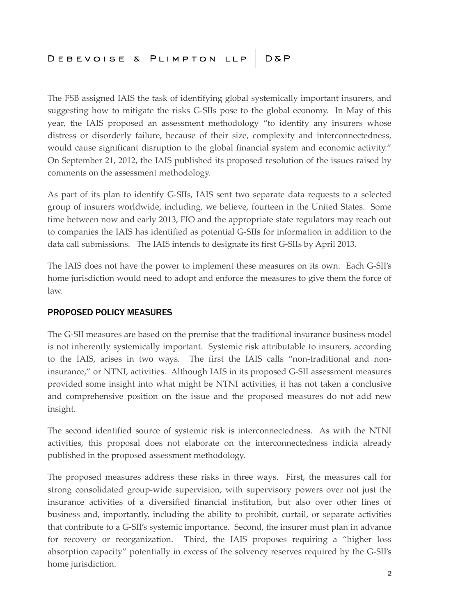The FSB assigned IAIS the task of identifying global systemically important insurers, and suggesting how to mitigate the risks G-SIIs pose to the global economy. In May of this year, the IAIS proposed an assessment methodology "to identify any insurers whose distress or disorderly failure, because of their size, complexity and interconnectedness, would cause significant disruption to the global financial system and economic activity." On September 21, 2012, the IAIS published its proposed resolution of the issues raised by comments on the assessment methodology.

As part of its plan to identify G-SIIs, IAIS sent two separate data requests to a selected group of insurers worldwide, including, we believe, fourteen in the United States. Some time between now and early 2013, FIO and the appropriate state regulators may reach out to companies the IAIS has identified as potential G-SIIs for information in addition to the data call submissions. The IAIS intends to designate its first G-SIIs by April 2013.

The IAIS does not have the power to implement these measures on its own. Each G-SII's home jurisdiction would need to adopt and enforce the measures to give them the force of law.

## PROPOSED POLICY MEASURES

The G-SII measures are based on the premise that the traditional insurance business model is not inherently systemically important. Systemic risk attributable to insurers, according to the IAIS, arises in two ways. The first the IAIS calls "non-traditional and noninsurance," or NTNI, activities. Although IAIS in its proposed G-SII assessment measures provided some insight into what might be NTNI activities, it has not taken a conclusive and comprehensive position on the issue and the proposed measures do not add new insight.

The second identified source of systemic risk is interconnectedness. As with the NTNI activities, this proposal does not elaborate on the interconnectedness indicia already published in the proposed assessment methodology.

The proposed measures address these risks in three ways. First, the measures call for strong consolidated group-wide supervision, with supervisory powers over not just the insurance activities of a diversified financial institution, but also over other lines of business and, importantly, including the ability to prohibit, curtail, or separate activities that contribute to a G-SII's systemic importance. Second, the insurer must plan in advance for recovery or reorganization. Third, the IAIS proposes requiring a "higher loss absorption capacity" potentially in excess of the solvency reserves required by the G-SII's home jurisdiction.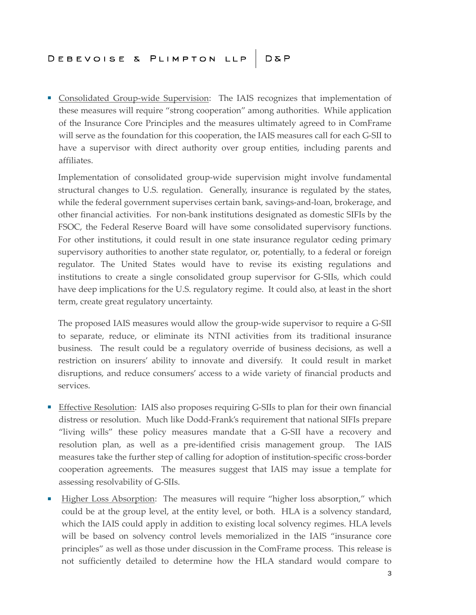■ Consolidated Group-wide Supervision: The IAIS recognizes that implementation of these measures will require "strong cooperation" among authorities. While application of the Insurance Core Principles and the measures ultimately agreed to in ComFrame will serve as the foundation for this cooperation, the IAIS measures call for each G-SII to have a supervisor with direct authority over group entities, including parents and affiliates.

Implementation of consolidated group-wide supervision might involve fundamental structural changes to U.S. regulation. Generally, insurance is regulated by the states, while the federal government supervises certain bank, savings-and-loan, brokerage, and other financial activities. For non-bank institutions designated as domestic SIFIs by the FSOC, the Federal Reserve Board will have some consolidated supervisory functions. For other institutions, it could result in one state insurance regulator ceding primary supervisory authorities to another state regulator, or, potentially, to a federal or foreign regulator. The United States would have to revise its existing regulations and institutions to create a single consolidated group supervisor for G-SIIs, which could have deep implications for the U.S. regulatory regime. It could also, at least in the short term, create great regulatory uncertainty.

The proposed IAIS measures would allow the group-wide supervisor to require a G-SII to separate, reduce, or eliminate its NTNI activities from its traditional insurance business. The result could be a regulatory override of business decisions, as well a restriction on insurers' ability to innovate and diversify. It could result in market disruptions, and reduce consumers' access to a wide variety of financial products and services.

- Effective Resolution: IAIS also proposes requiring G-SIIs to plan for their own financial distress or resolution. Much like Dodd-Frank's requirement that national SIFIs prepare "living wills" these policy measures mandate that a G-SII have a recovery and resolution plan, as well as a pre-identified crisis management group. The IAIS measures take the further step of calling for adoption of institution-specific cross-border cooperation agreements. The measures suggest that IAIS may issue a template for assessing resolvability of G-SIIs.
- Higher Loss Absorption: The measures will require "higher loss absorption," which could be at the group level, at the entity level, or both. HLA is a solvency standard, which the IAIS could apply in addition to existing local solvency regimes. HLA levels will be based on solvency control levels memorialized in the IAIS "insurance core principles" as well as those under discussion in the ComFrame process. This release is not sufficiently detailed to determine how the HLA standard would compare to